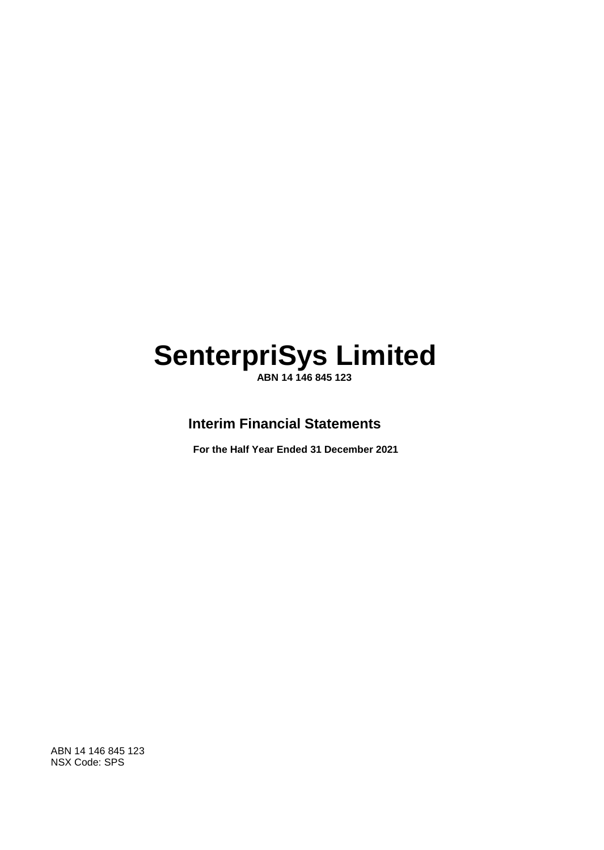**ABN 14 146 845 123**

### **Interim Financial Statements**

**For the Half Year Ended 31 December 2021**

ABN 14 146 845 123 NSX Code: SPS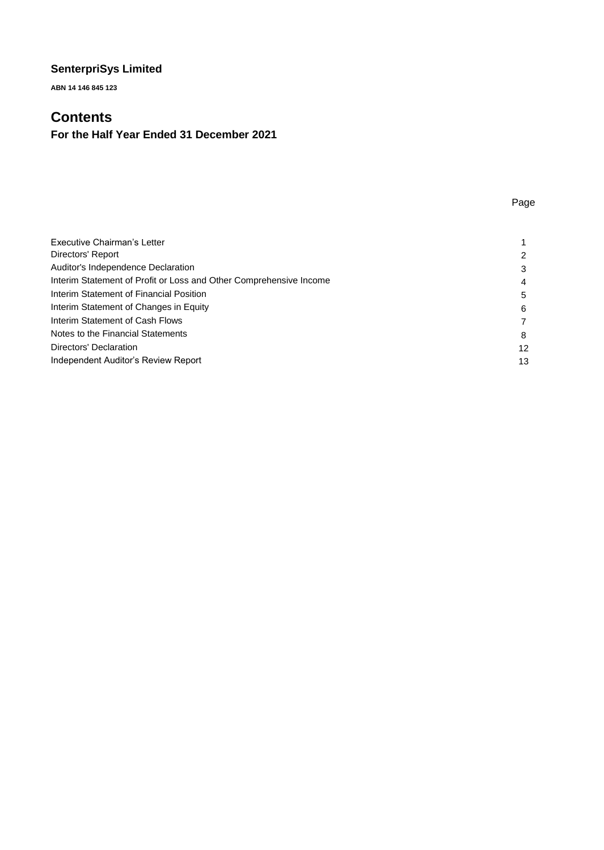**ABN 14 146 845 123**

### **Contents**

### **For the Half Year Ended 31 December 2021**

### Page

| Executive Chairman's Letter                                        |    |
|--------------------------------------------------------------------|----|
| Directors' Report                                                  | 2  |
| <b>Auditor's Independence Declaration</b>                          | 3  |
| Interim Statement of Profit or Loss and Other Comprehensive Income | 4  |
| Interim Statement of Financial Position                            | 5  |
| Interim Statement of Changes in Equity                             | 6  |
| Interim Statement of Cash Flows                                    |    |
| Notes to the Financial Statements                                  | 8  |
| Directors' Declaration                                             | 12 |
| Independent Auditor's Review Report                                | 13 |
|                                                                    |    |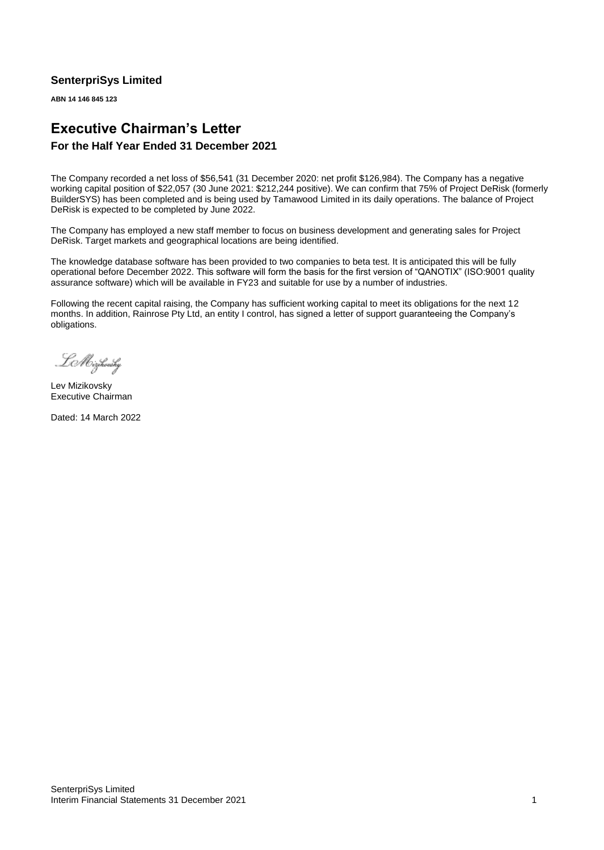**ABN 14 146 845 123**

### **Executive Chairman's Letter**

### **For the Half Year Ended 31 December 2021**

The Company recorded a net loss of \$56,541 (31 December 2020: net profit \$126,984). The Company has a negative working capital position of \$22,057 (30 June 2021: \$212,244 positive). We can confirm that 75% of Project DeRisk (formerly BuilderSYS) has been completed and is being used by Tamawood Limited in its daily operations. The balance of Project DeRisk is expected to be completed by June 2022.

The Company has employed a new staff member to focus on business development and generating sales for Project DeRisk. Target markets and geographical locations are being identified.

The knowledge database software has been provided to two companies to beta test. It is anticipated this will be fully operational before December 2022. This software will form the basis for the first version of "QANOTIX" (ISO:9001 quality assurance software) which will be available in FY23 and suitable for use by a number of industries.

Following the recent capital raising, the Company has sufficient working capital to meet its obligations for the next 12 months. In addition, Rainrose Pty Ltd, an entity I control, has signed a letter of support guaranteeing the Company's obligations.

Le Mizikovsky

Lev Mizikovsky Executive Chairman

Dated: 14 March 2022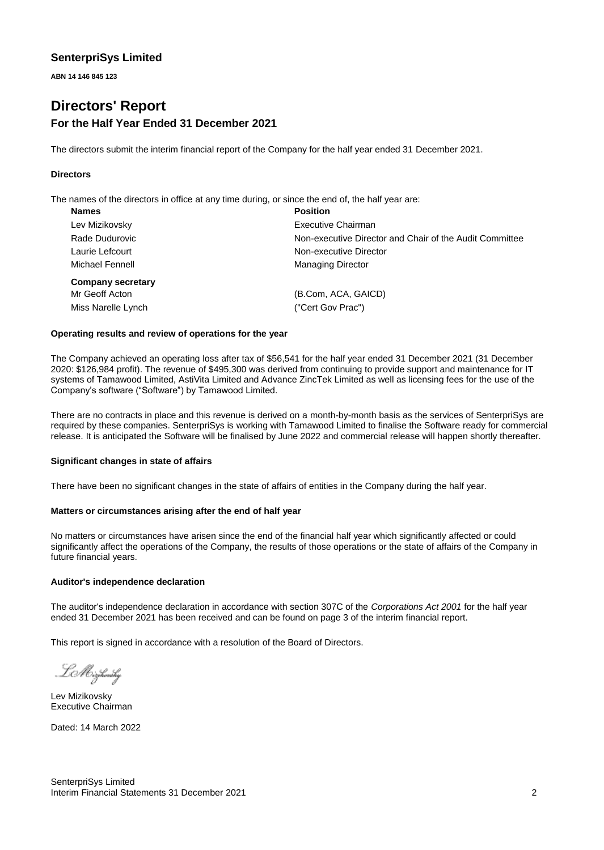**ABN 14 146 845 123**

### **Directors' Report For the Half Year Ended 31 December 2021**

The directors submit the interim financial report of the Company for the half year ended 31 December 2021.

### **Directors**

The names of the directors in office at any time during, or since the end of, the half year are:

| <b>Names</b>             | <b>Position</b>                                         |
|--------------------------|---------------------------------------------------------|
| Lev Mizikovsky           | Executive Chairman                                      |
| Rade Dudurovic           | Non-executive Director and Chair of the Audit Committee |
| Laurie Lefcourt          | Non-executive Director                                  |
| Michael Fennell          | <b>Managing Director</b>                                |
| <b>Company secretary</b> |                                                         |
| Mr Geoff Acton           | (B.Com, ACA, GAICD)                                     |
| Miss Narelle Lynch       | ("Cert Gov Prac")                                       |
|                          |                                                         |

#### **Operating results and review of operations for the year**

The Company achieved an operating loss after tax of \$56,541 for the half year ended 31 December 2021 (31 December 2020: \$126,984 profit). The revenue of \$495,300 was derived from continuing to provide support and maintenance for IT systems of Tamawood Limited, AstiVita Limited and Advance ZincTek Limited as well as licensing fees for the use of the Company's software ("Software") by Tamawood Limited.

There are no contracts in place and this revenue is derived on a month-by-month basis as the services of SenterpriSys are required by these companies. SenterpriSys is working with Tamawood Limited to finalise the Software ready for commercial release. It is anticipated the Software will be finalised by June 2022 and commercial release will happen shortly thereafter.

#### **Significant changes in state of affairs**

There have been no significant changes in the state of affairs of entities in the Company during the half year.

### **Matters or circumstances arising after the end of half year**

No matters or circumstances have arisen since the end of the financial half year which significantly affected or could significantly affect the operations of the Company, the results of those operations or the state of affairs of the Company in future financial years.

#### **Auditor's independence declaration**

The auditor's independence declaration in accordance with section 307C of the *Corporations Act 2001* for the half year ended 31 December 2021 has been received and can be found on page 3 of the interim financial report.

This report is signed in accordance with a resolution of the Board of Directors.

LMizikovsky

Lev Mizikovsky Executive Chairman

Dated: 14 March 2022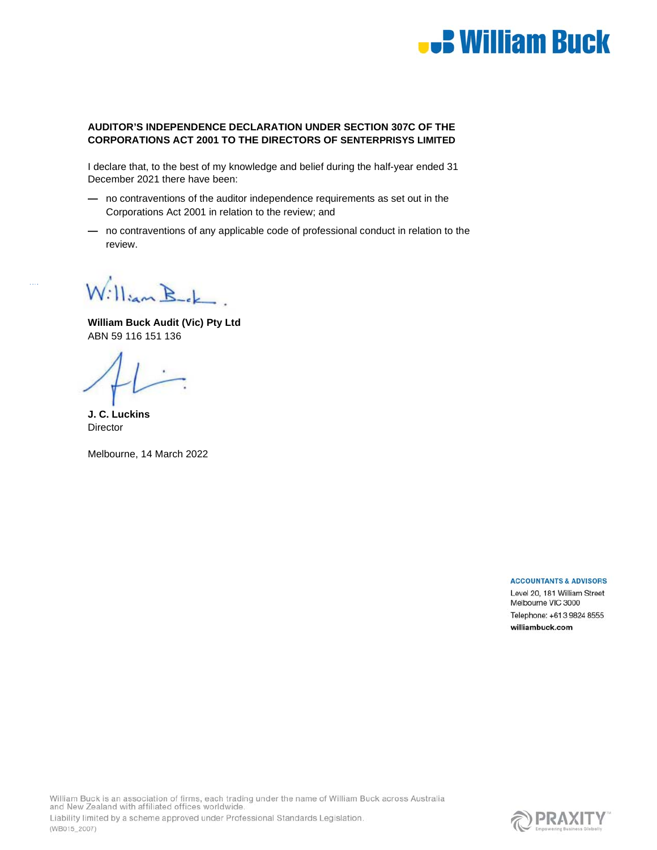

### **AUDITOR'S INDEPENDENCE DECLARATION UNDER SECTION 307C OF THE CORPORATIONS ACT 2001 TO THE DIRECTORS OF SENTERPRISYS LIMITED**

I declare that, to the best of my knowledge and belief during the half-year ended 31 December 2021 there have been:

- no contraventions of the auditor independence requirements as set out in the Corporations Act 2001 in relation to the review; and
- no contraventions of any applicable code of professional conduct in relation to the review.

William Bek

**William Buck Audit (Vic) Pty Ltd**  ABN 59 116 151 136

**J. C. Luckins Director** 

(WB015\_2007)

Melbourne, 14 March 2022

#### **ACCOUNTANTS & ADVISORS**

Level 20, 181 William Street Melbourne VIC 3000 Telephone: +61 3 9824 8555 williambuck.com

William Buck is an association of firms, each trading under the name of William Buck across Australia and New Zealand with affiliated offices worldwide. Liability limited by a scheme approved under Professional Standards Legislation.

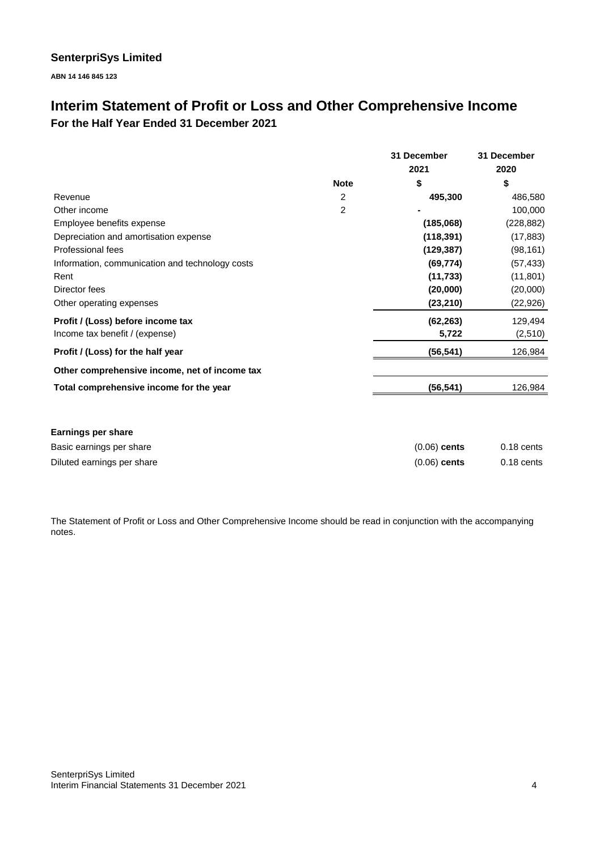**ABN 14 146 845 123**

### **Interim Statement of Profit or Loss and Other Comprehensive Income For the Half Year Ended 31 December 2021**

|                                                 |             | 31 December    | 31 December  |
|-------------------------------------------------|-------------|----------------|--------------|
|                                                 |             | 2021           | 2020         |
|                                                 | <b>Note</b> | \$             | \$           |
| Revenue                                         | 2           | 495,300        | 486,580      |
| Other income                                    | 2           |                | 100,000      |
| Employee benefits expense                       |             | (185,068)      | (228, 882)   |
| Depreciation and amortisation expense           |             | (118, 391)     | (17, 883)    |
| <b>Professional fees</b>                        |             | (129, 387)     | (98, 161)    |
| Information, communication and technology costs |             | (69, 774)      | (57, 433)    |
| Rent                                            |             | (11, 733)      | (11, 801)    |
| Director fees                                   |             | (20,000)       | (20,000)     |
| Other operating expenses                        |             | (23, 210)      | (22, 926)    |
| Profit / (Loss) before income tax               |             | (62, 263)      | 129,494      |
| Income tax benefit / (expense)                  |             | 5,722          | (2,510)      |
| Profit / (Loss) for the half year               |             | (56, 541)      | 126,984      |
| Other comprehensive income, net of income tax   |             |                |              |
| Total comprehensive income for the year         |             | (56, 541)      | 126,984      |
| <b>Earnings per share</b>                       |             |                |              |
| Basic earnings per share                        |             | $(0.06)$ cents | $0.18$ cents |
| Diluted earnings per share                      |             | $(0.06)$ cents | $0.18$ cents |

The Statement of Profit or Loss and Other Comprehensive Income should be read in conjunction with the accompanying notes.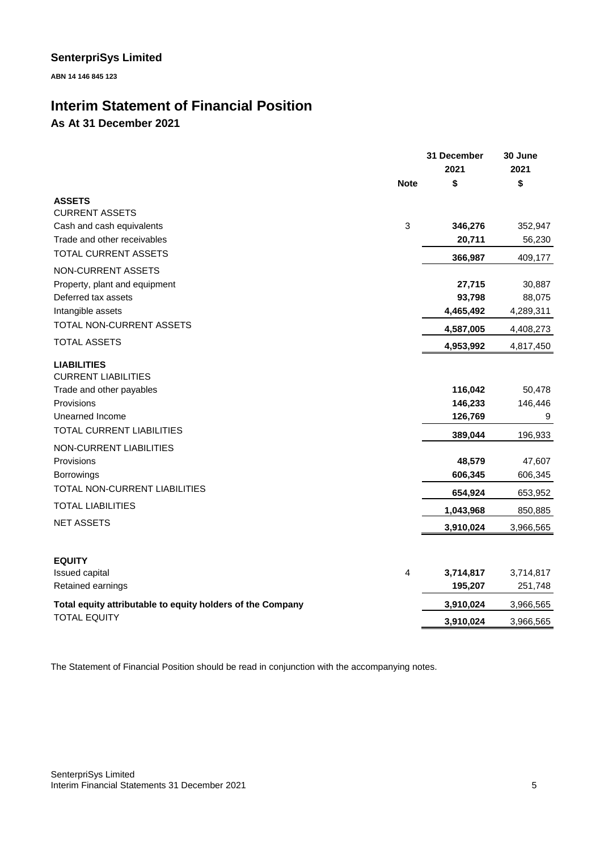**ABN 14 146 845 123**

### **Interim Statement of Financial Position**

**As At 31 December 2021**

|                                                            |             | 31 December | 30 June   |
|------------------------------------------------------------|-------------|-------------|-----------|
|                                                            |             | 2021        | 2021      |
|                                                            | <b>Note</b> | \$          | \$        |
| <b>ASSETS</b>                                              |             |             |           |
| <b>CURRENT ASSETS</b><br>Cash and cash equivalents         | 3           | 346,276     | 352,947   |
| Trade and other receivables                                |             | 20,711      | 56,230    |
| <b>TOTAL CURRENT ASSETS</b>                                |             |             |           |
| NON-CURRENT ASSETS                                         |             | 366,987     | 409,177   |
| Property, plant and equipment                              |             | 27,715      | 30,887    |
| Deferred tax assets                                        |             | 93,798      | 88,075    |
| Intangible assets                                          |             | 4,465,492   | 4,289,311 |
| TOTAL NON-CURRENT ASSETS                                   |             | 4,587,005   | 4,408,273 |
| <b>TOTAL ASSETS</b>                                        |             | 4,953,992   | 4,817,450 |
| <b>LIABILITIES</b>                                         |             |             |           |
| <b>CURRENT LIABILITIES</b>                                 |             |             |           |
| Trade and other payables                                   |             | 116,042     | 50,478    |
| Provisions                                                 |             | 146,233     | 146,446   |
| Unearned Income                                            |             | 126,769     | 9         |
| <b>TOTAL CURRENT LIABILITIES</b>                           |             | 389,044     | 196,933   |
| NON-CURRENT LIABILITIES                                    |             |             |           |
| Provisions                                                 |             | 48,579      | 47,607    |
| <b>Borrowings</b>                                          |             | 606,345     | 606,345   |
| TOTAL NON-CURRENT LIABILITIES                              |             | 654,924     | 653,952   |
| <b>TOTAL LIABILITIES</b>                                   |             | 1,043,968   | 850,885   |
| <b>NET ASSETS</b>                                          |             | 3,910,024   | 3,966,565 |
|                                                            |             |             |           |
| <b>EQUITY</b>                                              |             |             |           |
| Issued capital                                             | 4           | 3,714,817   | 3,714,817 |
| Retained earnings                                          |             | 195,207     | 251,748   |
| Total equity attributable to equity holders of the Company |             | 3,910,024   | 3,966,565 |
| <b>TOTAL EQUITY</b>                                        |             | 3,910,024   | 3,966,565 |
|                                                            |             |             |           |

The Statement of Financial Position should be read in conjunction with the accompanying notes.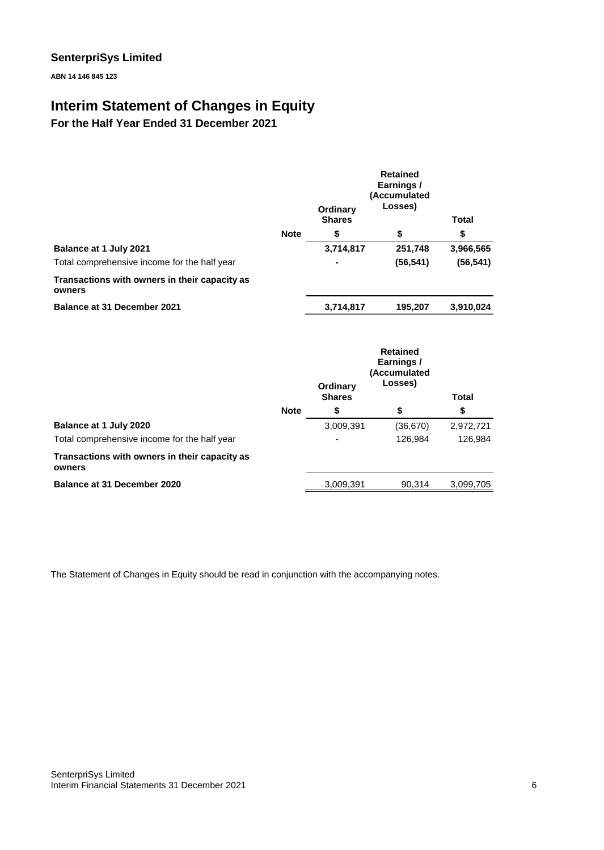**ABN 14 146 845 123**

### **Interim Statement of Changes in Equity**

**For the Half Year Ended 31 December 2021**

|                                                         | Ordinary<br><b>Shares</b> |           | <b>Retained</b><br>Earnings/<br>(Accumulated<br>Losses) | <b>Total</b> |
|---------------------------------------------------------|---------------------------|-----------|---------------------------------------------------------|--------------|
|                                                         | <b>Note</b>               | \$        | \$                                                      | \$           |
| <b>Balance at 1 July 2021</b>                           |                           | 3,714,817 | 251,748                                                 | 3,966,565    |
| Total comprehensive income for the half year            |                           |           | (56, 541)                                               | (56, 541)    |
| Transactions with owners in their capacity as<br>owners |                           |           |                                                         |              |
| <b>Balance at 31 December 2021</b>                      |                           | 3,714,817 | 195,207                                                 | 3,910,024    |

|                                                         |             | Ordinary<br><b>Shares</b> | <b>Retained</b><br>Earnings/<br>(Accumulated<br>Losses) | <b>Total</b> |
|---------------------------------------------------------|-------------|---------------------------|---------------------------------------------------------|--------------|
|                                                         | <b>Note</b> | \$                        | \$                                                      | \$           |
| Balance at 1 July 2020                                  |             | 3,009,391                 | (36, 670)                                               | 2,972,721    |
| Total comprehensive income for the half year            |             |                           | 126,984                                                 | 126.984      |
| Transactions with owners in their capacity as<br>owners |             |                           |                                                         |              |
| Balance at 31 December 2020                             |             | 3,009,391                 | 90.314                                                  | 3,099,705    |

The Statement of Changes in Equity should be read in conjunction with the accompanying notes.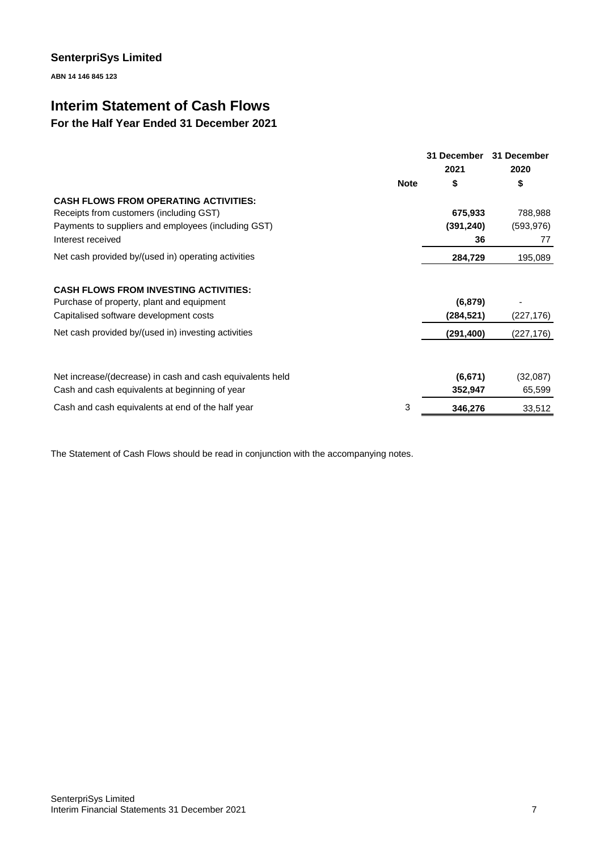**ABN 14 146 845 123**

### **Interim Statement of Cash Flows**

### **For the Half Year Ended 31 December 2021**

|                                                           | 31 December<br>2021 | 31 December<br>2020 |
|-----------------------------------------------------------|---------------------|---------------------|
| <b>Note</b>                                               | \$                  | \$                  |
| <b>CASH FLOWS FROM OPERATING ACTIVITIES:</b>              |                     |                     |
| Receipts from customers (including GST)                   | 675,933             | 788,988             |
| Payments to suppliers and employees (including GST)       | (391, 240)          | (593, 976)          |
| Interest received                                         | 36                  | 77                  |
| Net cash provided by/(used in) operating activities       | 284,729             | 195,089             |
| <b>CASH FLOWS FROM INVESTING ACTIVITIES:</b>              |                     |                     |
| Purchase of property, plant and equipment                 | (6, 879)            |                     |
| Capitalised software development costs                    | (284, 521)          | (227, 176)          |
| Net cash provided by/(used in) investing activities       | (291, 400)          | (227,176)           |
|                                                           |                     |                     |
| Net increase/(decrease) in cash and cash equivalents held | (6,671)             | (32,087)            |
| Cash and cash equivalents at beginning of year            | 352,947             | 65,599              |
| 3<br>Cash and cash equivalents at end of the half year    | 346,276             | 33,512              |

The Statement of Cash Flows should be read in conjunction with the accompanying notes.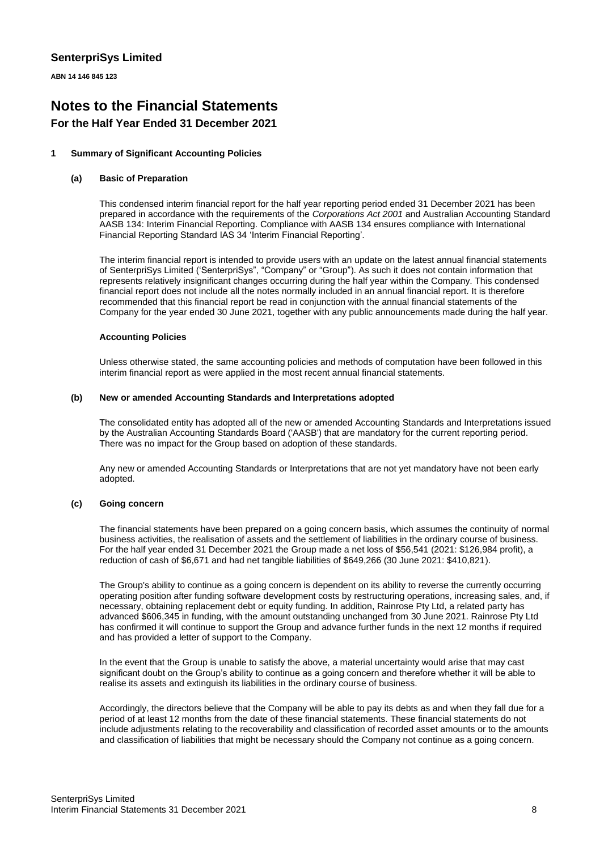**ABN 14 146 845 123**

## **Notes to the Financial Statements**

### **For the Half Year Ended 31 December 2021**

### **1 Summary of Significant Accounting Policies**

#### **(a) Basic of Preparation**

This condensed interim financial report for the half year reporting period ended 31 December 2021 has been prepared in accordance with the requirements of the *Corporations Act 2001* and Australian Accounting Standard AASB 134: Interim Financial Reporting. Compliance with AASB 134 ensures compliance with International Financial Reporting Standard IAS 34 'Interim Financial Reporting'.

The interim financial report is intended to provide users with an update on the latest annual financial statements of SenterpriSys Limited ('SenterpriSys", "Company" or "Group"). As such it does not contain information that represents relatively insignificant changes occurring during the half year within the Company. This condensed financial report does not include all the notes normally included in an annual financial report. It is therefore recommended that this financial report be read in conjunction with the annual financial statements of the Company for the year ended 30 June 2021, together with any public announcements made during the half year.

#### **Accounting Policies**

Unless otherwise stated, the same accounting policies and methods of computation have been followed in this interim financial report as were applied in the most recent annual financial statements.

#### **(b) New or amended Accounting Standards and Interpretations adopted**

The consolidated entity has adopted all of the new or amended Accounting Standards and Interpretations issued by the Australian Accounting Standards Board ('AASB') that are mandatory for the current reporting period. There was no impact for the Group based on adoption of these standards.

Any new or amended Accounting Standards or Interpretations that are not yet mandatory have not been early adopted.

### **(c) Going concern**

The financial statements have been prepared on a going concern basis, which assumes the continuity of normal business activities, the realisation of assets and the settlement of liabilities in the ordinary course of business. For the half year ended 31 December 2021 the Group made a net loss of \$56,541 (2021: \$126,984 profit), a reduction of cash of \$6,671 and had net tangible liabilities of \$649,266 (30 June 2021: \$410,821).

The Group's ability to continue as a going concern is dependent on its ability to reverse the currently occurring operating position after funding software development costs by restructuring operations, increasing sales, and, if necessary, obtaining replacement debt or equity funding. In addition, Rainrose Pty Ltd, a related party has advanced \$606,345 in funding, with the amount outstanding unchanged from 30 June 2021. Rainrose Pty Ltd has confirmed it will continue to support the Group and advance further funds in the next 12 months if required and has provided a letter of support to the Company.

In the event that the Group is unable to satisfy the above, a material uncertainty would arise that may cast significant doubt on the Group's ability to continue as a going concern and therefore whether it will be able to realise its assets and extinguish its liabilities in the ordinary course of business.

Accordingly, the directors believe that the Company will be able to pay its debts as and when they fall due for a period of at least 12 months from the date of these financial statements. These financial statements do not include adjustments relating to the recoverability and classification of recorded asset amounts or to the amounts and classification of liabilities that might be necessary should the Company not continue as a going concern.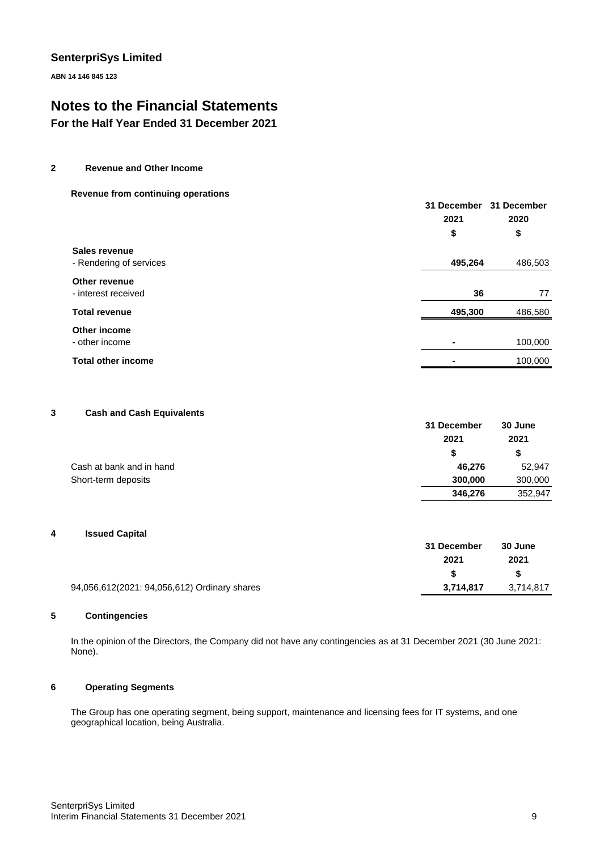**ABN 14 146 845 123**

### **Notes to the Financial Statements**

**For the Half Year Ended 31 December 2021**

**2 Revenue and Other Income** 

#### **Revenue from continuing operations**

|                                          | 31 December<br>2021 | 31 December<br>2020 |
|------------------------------------------|---------------------|---------------------|
|                                          | \$                  | \$                  |
| Sales revenue<br>- Rendering of services | 495,264             | 486,503             |
| Other revenue<br>- interest received     | 36                  | 77                  |
| <b>Total revenue</b>                     | 495,300             | 486,580             |
| Other income<br>- other income           |                     | 100,000             |
| <b>Total other income</b>                |                     | 100,000             |

#### **3 Cash and Cash Equivalents**

|                          | 31 December | 30 June   |  |
|--------------------------|-------------|-----------|--|
|                          | 2021        | 2021<br>S |  |
|                          | S.          |           |  |
| Cash at bank and in hand | 46.276      | 52,947    |  |
| Short-term deposits      | 300,000     | 300,000   |  |
|                          | 346,276     | 352,947   |  |

### **4 Issued Capital**

|                                              | 31 December | 30 June   |
|----------------------------------------------|-------------|-----------|
|                                              | 2021        | 2021      |
|                                              |             | -SS       |
| 94,056,612(2021: 94,056,612) Ordinary shares | 3.714.817   | 3,714,817 |

### **5 Contingencies**

In the opinion of the Directors, the Company did not have any contingencies as at 31 December 2021 (30 June 2021: None).

### **6 Operating Segments**

The Group has one operating segment, being support, maintenance and licensing fees for IT systems, and one geographical location, being Australia.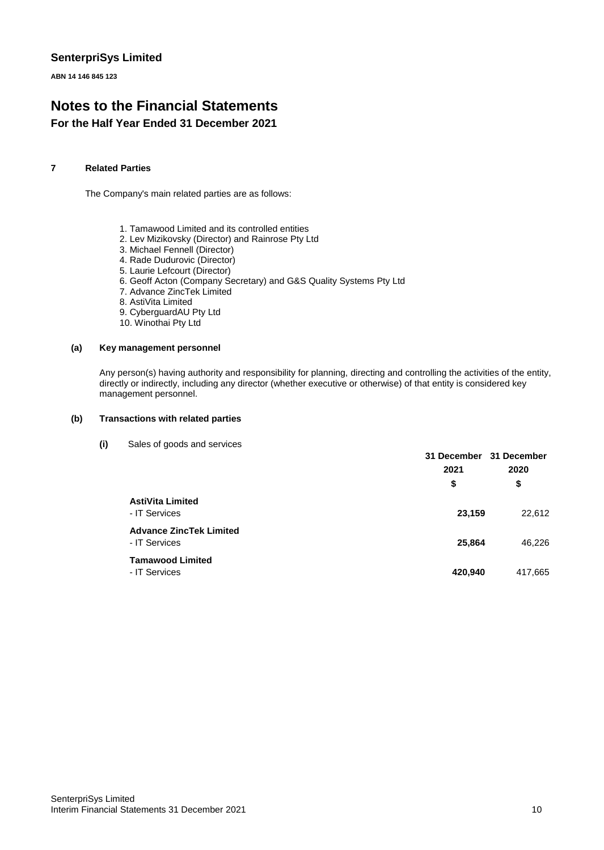**ABN 14 146 845 123**

### **Notes to the Financial Statements For the Half Year Ended 31 December 2021**

### **7 Related Parties**

The Company's main related parties are as follows:

- 1. Tamawood Limited and its controlled entities
- 2. Lev Mizikovsky (Director) and Rainrose Pty Ltd
- 3. Michael Fennell (Director)
- 4. Rade Dudurovic (Director)
- 5. Laurie Lefcourt (Director)
- 6. Geoff Acton (Company Secretary) and G&S Quality Systems Pty Ltd
- 7. Advance ZincTek Limited
- 8. AstiVita Limited
- 9. CyberguardAU Pty Ltd
- 10. Winothai Pty Ltd

#### **(a) Key management personnel**

Any person(s) having authority and responsibility for planning, directing and controlling the activities of the entity, directly or indirectly, including any director (whether executive or otherwise) of that entity is considered key management personnel.

#### **(b) Transactions with related parties**

**(i)** Sales of goods and services

|                                                 | 31 December 31 December<br>2021<br>\$ | 2020<br>\$ |
|-------------------------------------------------|---------------------------------------|------------|
| <b>AstiVita Limited</b><br>- IT Services        | 23,159                                | 22,612     |
| <b>Advance ZincTek Limited</b><br>- IT Services | 25,864                                | 46,226     |
| <b>Tamawood Limited</b><br>- IT Services        | 420,940                               | 417,665    |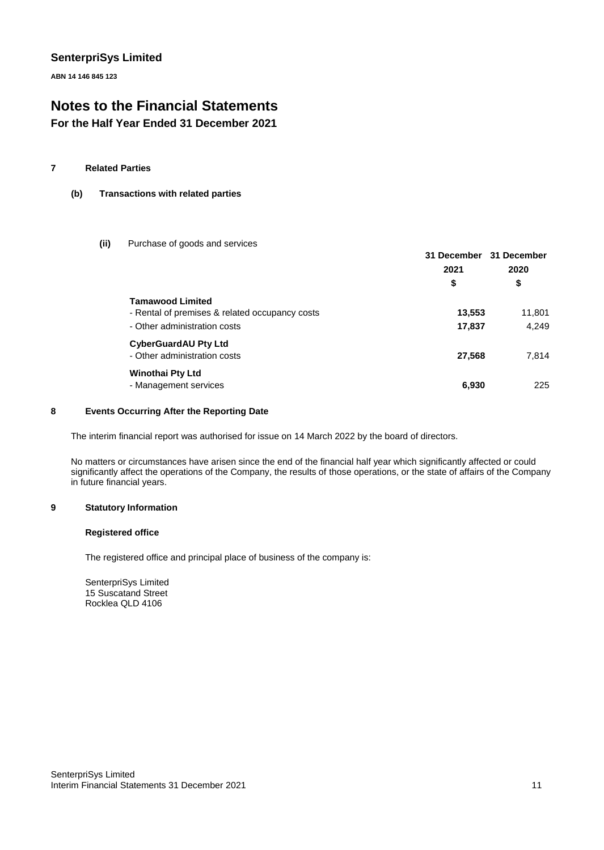**ABN 14 146 845 123**

### **Notes to the Financial Statements**

**For the Half Year Ended 31 December 2021**

### **7 Related Parties**

### **(b) Transactions with related parties**

**(ii)** Purchase of goods and services

|                                                                                                           | 31 December 31 December<br>2021<br>\$ | 2020<br>\$      |
|-----------------------------------------------------------------------------------------------------------|---------------------------------------|-----------------|
| <b>Tamawood Limited</b><br>- Rental of premises & related occupancy costs<br>- Other administration costs | 13,553<br>17,837                      | 11,801<br>4,249 |
| <b>CyberGuardAU Pty Ltd</b><br>- Other administration costs                                               | 27,568                                | 7,814           |
| <b>Winothai Pty Ltd</b><br>- Management services                                                          | 6,930                                 | 225             |

### **8 Events Occurring After the Reporting Date**

The interim financial report was authorised for issue on 14 March 2022 by the board of directors.

No matters or circumstances have arisen since the end of the financial half year which significantly affected or could significantly affect the operations of the Company, the results of those operations, or the state of affairs of the Company in future financial years.

#### **9 Statutory Information**

### **Registered office**

The registered office and principal place of business of the company is:

SenterpriSys Limited 15 Suscatand Street Rocklea QLD 4106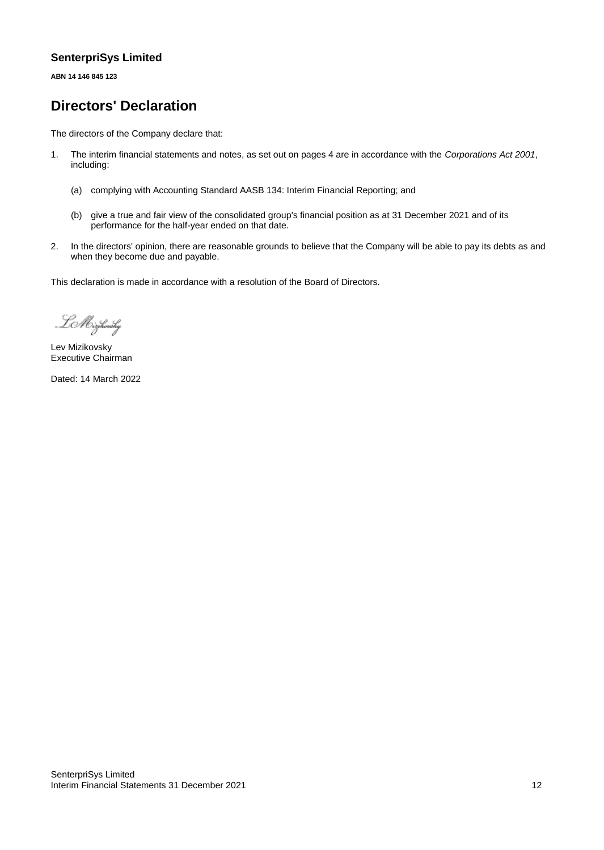**ABN 14 146 845 123**

### **Directors' Declaration**

The directors of the Company declare that:

- 1. The interim financial statements and notes, as set out on pages 4 are in accordance with the *Corporations Act 2001*, including:
	- (a) complying with Accounting Standard AASB 134: Interim Financial Reporting; and
	- (b) give a true and fair view of the consolidated group's financial position as at 31 December 2021 and of its performance for the half-year ended on that date.
- 2. In the directors' opinion, there are reasonable grounds to believe that the Company will be able to pay its debts as and when they become due and payable.

This declaration is made in accordance with a resolution of the Board of Directors.

LMizikovsky

Lev Mizikovsky Executive Chairman

Dated: 14 March 2022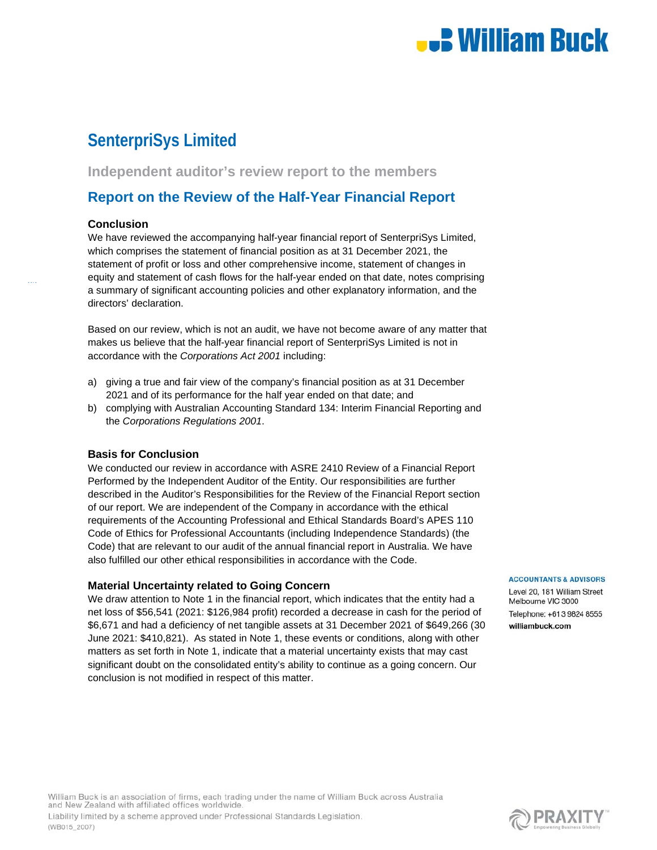## **.: William Buck**

### **SenterpriSys Limited**

**Independent auditor's review report to the members** 

### **Report on the Review of the Half-Year Financial Report**

### **Conclusion**

We have reviewed the accompanying half-year financial report of SenterpriSys Limited, which comprises the statement of financial position as at 31 December 2021, the statement of profit or loss and other comprehensive income, statement of changes in equity and statement of cash flows for the half-year ended on that date, notes comprising a summary of significant accounting policies and other explanatory information, and the directors' declaration.

Based on our review, which is not an audit, we have not become aware of any matter that makes us believe that the half-year financial report of SenterpriSys Limited is not in accordance with the *Corporations Act 2001* including:

- a) giving a true and fair view of the company's financial position as at 31 December 2021 and of its performance for the half year ended on that date; and
- b) complying with Australian Accounting Standard 134: Interim Financial Reporting and the *Corporations Regulations 2001*.

### **Basis for Conclusion**

(WB015\_2007)

We conducted our review in accordance with ASRE 2410 Review of a Financial Report Performed by the Independent Auditor of the Entity. Our responsibilities are further described in the Auditor's Responsibilities for the Review of the Financial Report section of our report. We are independent of the Company in accordance with the ethical requirements of the Accounting Professional and Ethical Standards Board's APES 110 Code of Ethics for Professional Accountants (including Independence Standards) (the Code) that are relevant to our audit of the annual financial report in Australia. We have also fulfilled our other ethical responsibilities in accordance with the Code.

### **Material Uncertainty related to Going Concern**

We draw attention to Note 1 in the financial report, which indicates that the entity had a net loss of \$56,541 (2021: \$126,984 profit) recorded a decrease in cash for the period of \$6,671 and had a deficiency of net tangible assets at 31 December 2021 of \$649,266 (30 June 2021: \$410,821). As stated in Note 1, these events or conditions, along with other matters as set forth in Note 1, indicate that a material uncertainty exists that may cast significant doubt on the consolidated entity's ability to continue as a going concern. Our conclusion is not modified in respect of this matter.

#### **ACCOUNTANTS & ADVISORS**

Level 20, 181 William Street Melbourne VIC 3000 Telephone: +61 3 9824 8555 williambuck.com